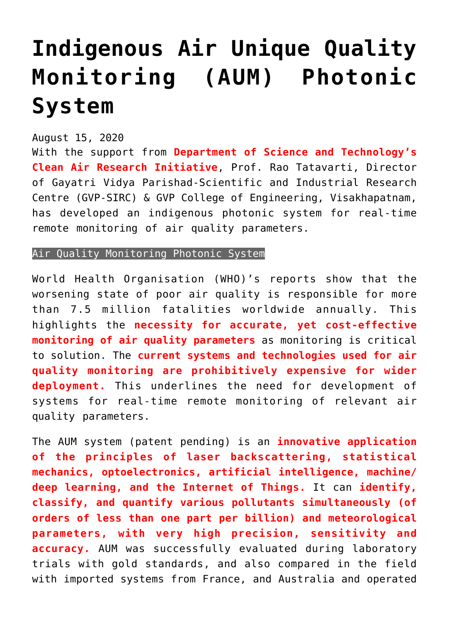## **[Indigenous Air Unique Quality](https://journalsofindia.com/indigenous-air-unique-quality-monitoring-aum-photonic-system/) [Monitoring \(AUM\) Photonic](https://journalsofindia.com/indigenous-air-unique-quality-monitoring-aum-photonic-system/) [System](https://journalsofindia.com/indigenous-air-unique-quality-monitoring-aum-photonic-system/)**

## August 15, 2020

With the support from **Department of Science and Technology's Clean Air Research Initiative**, Prof. Rao Tatavarti, Director of Gayatri Vidya Parishad-Scientific and Industrial Research Centre (GVP-SIRC) & GVP College of Engineering, Visakhapatnam, has developed an indigenous photonic system for real-time remote monitoring of air quality parameters.

## Air Quality Monitoring Photonic System

World Health Organisation (WHO)'s reports show that the worsening state of poor air quality is responsible for more than 7.5 million fatalities worldwide annually. This highlights the **necessity for accurate, yet cost-effective monitoring of air quality parameters** as monitoring is critical to solution. The **current systems and technologies used for air quality monitoring are prohibitively expensive for wider deployment.** This underlines the need for development of systems for real-time remote monitoring of relevant air quality parameters.

The AUM system (patent pending) is an **innovative application of the principles of laser backscattering, statistical mechanics, optoelectronics, artificial intelligence, machine/ deep learning, and the Internet of Things.** It can **identify, classify, and quantify various pollutants simultaneously (of orders of less than one part per billion) and meteorological parameters, with very high precision, sensitivity and accuracy.** AUM was successfully evaluated during laboratory trials with gold standards, and also compared in the field with imported systems from France, and Australia and operated